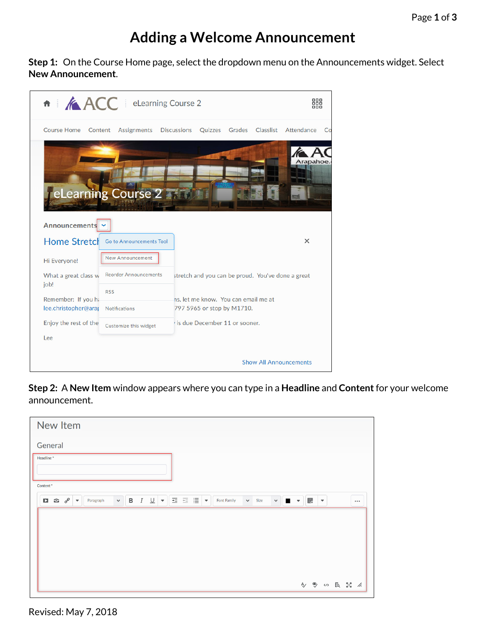## **Adding a Welcome Announcement**

**Step 1:** On the Course Home page, select the dropdown menu on the Announcements widget. Select **New Announcement**.

| <b>fi</b> ACC   eLearning Course 2 |                              |                    |                                                   |        |  | 쪎                             |    |
|------------------------------------|------------------------------|--------------------|---------------------------------------------------|--------|--|-------------------------------|----|
| <b>Course Home</b>                 | Content<br>Assignments       | <b>Discussions</b> | Quizzes                                           | Grades |  | Classlist Attendance          | Co |
| Announcements                      | eLearning Course 2           |                    |                                                   |        |  | Arapahoe.                     |    |
| <b>Home Stretch</b>                | Go to Announcements Tool     |                    |                                                   |        |  | $\times$                      |    |
| Hi Everyone!                       | <b>New Announcement</b>      |                    |                                                   |        |  |                               |    |
| What a great class w               | <b>Reorder Announcements</b> |                    | stretch and you can be proud. You've done a great |        |  |                               |    |
| job!<br>Remember: If you ha        | <b>RSS</b>                   |                    | ns, let me know. You can email me at              |        |  |                               |    |
| lee.christopher@arap               | <b>Notifications</b>         |                    | 797 5965 or stop by M1710.                        |        |  |                               |    |
| Enjoy the rest of the              | Customize this widget        |                    | is due December 11 or sooner.                     |        |  |                               |    |
| Lee                                |                              |                    |                                                   |        |  |                               |    |
|                                    |                              |                    |                                                   |        |  | <b>Show All Announcements</b> |    |

**Step 2:** A **New Item** window appears where you can type in a **Headline** and **Content** for your welcome announcement.

| New Item                                                                                                                                                                                                                    |                           |                      |  |  |
|-----------------------------------------------------------------------------------------------------------------------------------------------------------------------------------------------------------------------------|---------------------------|----------------------|--|--|
| General                                                                                                                                                                                                                     |                           |                      |  |  |
| Headline*                                                                                                                                                                                                                   |                           |                      |  |  |
| Content*                                                                                                                                                                                                                    |                           |                      |  |  |
| <b>B</b> $I \cup  \mathbf{v}   \equiv \equiv  \mathbf{v} $<br>$\checkmark$<br>$\checkmark$<br>$\Box \quad \  \  \, \Box \quad \  \  \, \circ^0 \quad \  \  \, \ast$<br><b>ID</b><br>$\vee$ Size<br>Font Family<br>Paragraph | 腮<br>$\blacktriangledown$ | $\blacktriangledown$ |  |  |
|                                                                                                                                                                                                                             |                           |                      |  |  |
|                                                                                                                                                                                                                             |                           |                      |  |  |
|                                                                                                                                                                                                                             |                           |                      |  |  |
|                                                                                                                                                                                                                             |                           |                      |  |  |
|                                                                                                                                                                                                                             | A) → S 区 品 么              |                      |  |  |

Revised: May 7, 2018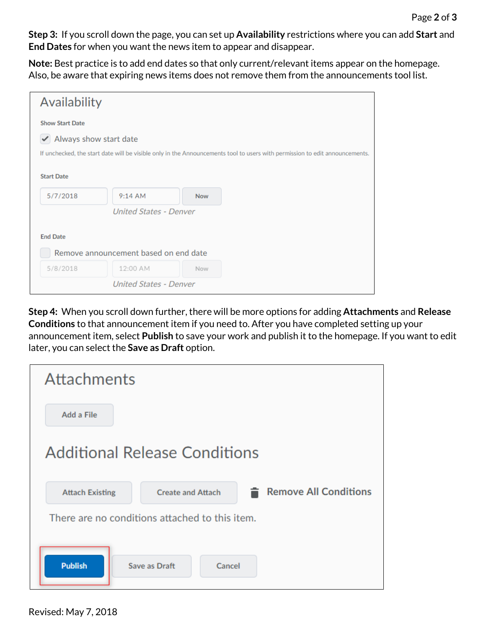**Step 3:** If you scroll down the page, you can set up **Availability** restrictions where you can add **Start** and **End Dates** for when you want the news item to appear and disappear.

**Note:** Best practice is to add end dates so that only current/relevant items appear on the homepage. Also, be aware that expiring news items does not remove them from the announcements tool list.

| Availability                                                                                                                |                               |            |  |  |  |  |  |
|-----------------------------------------------------------------------------------------------------------------------------|-------------------------------|------------|--|--|--|--|--|
| <b>Show Start Date</b>                                                                                                      |                               |            |  |  |  |  |  |
| Always show start date                                                                                                      |                               |            |  |  |  |  |  |
| If unchecked, the start date will be visible only in the Announcements tool to users with permission to edit announcements. |                               |            |  |  |  |  |  |
| <b>Start Date</b>                                                                                                           |                               |            |  |  |  |  |  |
| 5/7/2018                                                                                                                    | $9:14$ AM                     | <b>Now</b> |  |  |  |  |  |
|                                                                                                                             | <b>United States - Denver</b> |            |  |  |  |  |  |
|                                                                                                                             |                               |            |  |  |  |  |  |
| <b>End Date</b>                                                                                                             |                               |            |  |  |  |  |  |
| Remove announcement based on end date                                                                                       |                               |            |  |  |  |  |  |
| 5/8/2018                                                                                                                    | 12:00 AM                      | Now        |  |  |  |  |  |
|                                                                                                                             | <b>United States - Denver</b> |            |  |  |  |  |  |

**Step 4:** When you scroll down further, there will be more options for adding **Attachments** and **Release Conditions** to that announcement item if you need to. After you have completed setting up your announcement item, select **Publish** to save your work and publish it to the homepage. If you want to edit later, you can select the **Save as Draft** option.